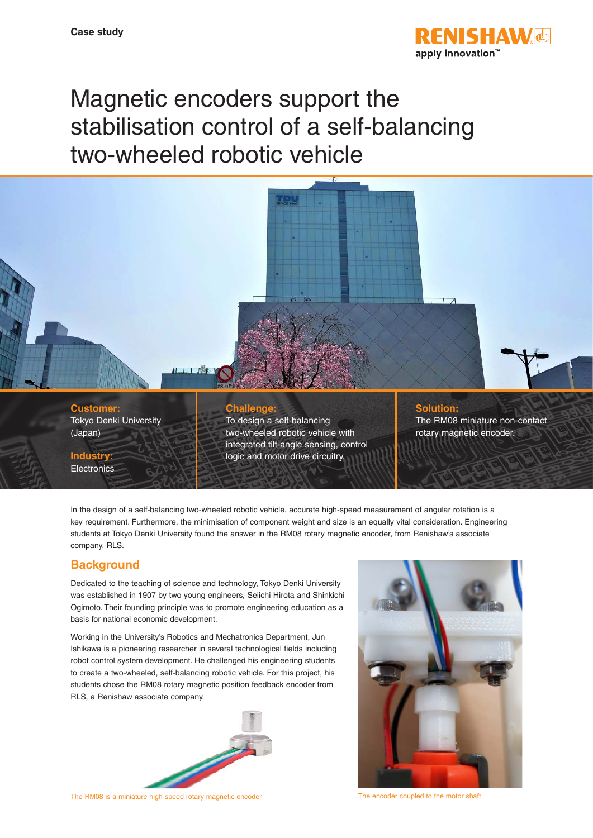

# Magnetic encoders support the stabilisation control of a self-balancing two-wheeled robotic vehicle



In the design of a self-balancing two-wheeled robotic vehicle, accurate high-speed measurement of angular rotation is a key requirement. Furthermore, the minimisation of component weight and size is an equally vital consideration. Engineering students at Tokyo Denki University found the answer in the RM08 rotary magnetic encoder, from Renishaw's associate company, RLS.

## **Background**

Dedicated to the teaching of science and technology, Tokyo Denki University was established in 1907 by two young engineers, Seiichi Hirota and Shinkichi Ogimoto. Their founding principle was to promote engineering education as a basis for national economic development.

Working in the University's Robotics and Mechatronics Department, Jun Ishikawa is a pioneering researcher in several technological fields including robot control system development. He challenged his engineering students to create a two-wheeled, self-balancing robotic vehicle. For this project, his students chose the RM08 rotary magnetic position feedback encoder from RLS, a Renishaw associate company.



The RM08 is a miniature high-speed rotary magnetic encoder The Encoder Coupled to the motor shaft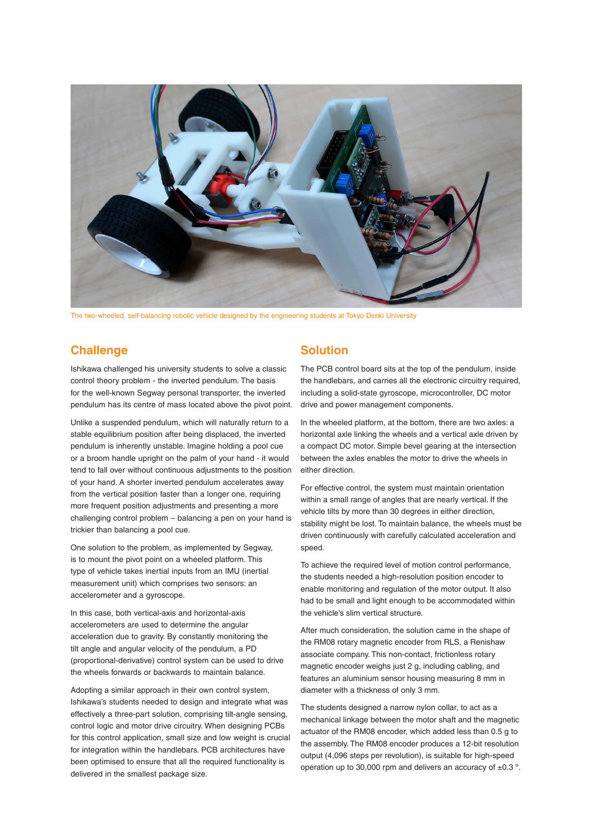

The two-wheeled, self-balancing robotic vehicle designed by the engineering students at Tokyo Denki University

#### **Challenge**

Ishikawa challenged his university students to solve a classic control theory problem - the inverted pendulum. The basis for the well-known Segway personal transporter, the inverted pendulum has its centre of mass located above the pivot point.

Unlike a suspended pendulum, which will naturally return to a stable equilibrium position after being displaced, the inverted pendulum is inherently unstable. Imagine holding a pool cue or a broom handle upright on the palm of your hand - it would tend to fall over without continuous adjustments to the position of your hand. A shorter inverted pendulum accelerates away from the vertical position faster than a longer one, requiring more frequent position adjustments and presenting a more challenging control problem – balancing a pen on your hand is trickier than balancing a pool cue.

One solution to the problem, as implemented by Segway, is to mount the pivot point on a wheeled platform. This type of vehicle takes inertial inputs from an IMU (inertial measurement unit) which comprises two sensors: an accelerometer and a gyroscope.

In this case, both vertical-axis and horizontal-axis accelerometers are used to determine the angular acceleration due to gravity. By constantly monitoring the tilt angle and angular velocity of the pendulum, a PD (proportional-derivative) control system can be used to drive the wheels forwards or backwards to maintain balance.

Adopting a similar approach in their own control system, Ishikawa's students needed to design and integrate what was effectively a three-part solution, comprising tilt-angle sensing, control logic and motor drive circuitry. When designing PCBs for this control application, small size and low weight is crucial for integration within the handlebars. PCB architectures have been optimised to ensure that all the required functionality is delivered in the smallest package size.

#### **Solution**

The PCB control board sits at the top of the pendulum, inside the handlebars, and carries all the electronic circuitry required, including a solid-state gyroscope, microcontroller, DC motor drive and power management components.

In the wheeled platform, at the bottom, there are two axles: a horizontal axle linking the wheels and a vertical axle driven by a compact DC motor. Simple bevel gearing at the intersection between the axles enables the motor to drive the wheels in either direction.

For effective control, the system must maintain orientation within a small range of angles that are nearly vertical. If the vehicle tilts by more than 30 degrees in either direction, stability might be lost. To maintain balance, the wheels must be driven continuously with carefully calculated acceleration and speed.

To achieve the required level of motion control performance, the students needed a high-resolution position encoder to enable monitoring and regulation of the motor output. It also had to be small and light enough to be accommodated within the vehicle's slim vertical structure.

After much consideration, the solution came in the shape of the RM08 rotary magnetic encoder from RLS, a Renishaw associate company. This non-contact, frictionless rotary magnetic encoder weighs just 2 g, including cabling, and features an aluminium sensor housing measuring 8 mm in diameter with a thickness of only 3 mm.

The students designed a narrow nylon collar, to act as a mechanical linkage between the motor shaft and the magnetic actuator of the RM08 encoder, which added less than 0.5 g to the assembly. The RM08 encoder produces a 12-bit resolution output (4,096 steps per revolution), is suitable for high-speed operation up to 30,000 rpm and delivers an accuracy of  $\pm 0.3$  °.